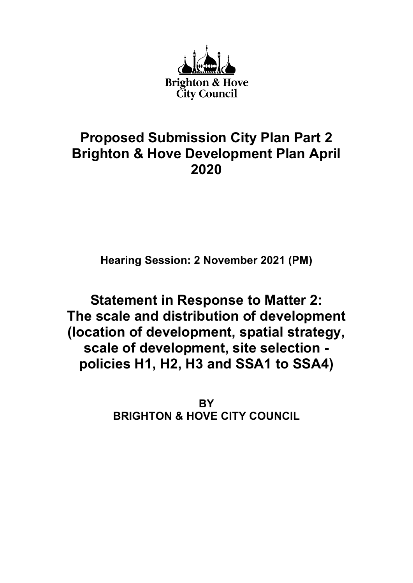

# Proposed Submission City Plan Part 2 Brighton & Hove Development Plan April 2020

Hearing Session: 2 November 2021 (PM)

Statement in Response to Matter 2: The scale and distribution of development (location of development, spatial strategy, scale of development, site selection policies H1, H2, H3 and SSA1 to SSA4)

> **BY** BRIGHTON & HOVE CITY COUNCIL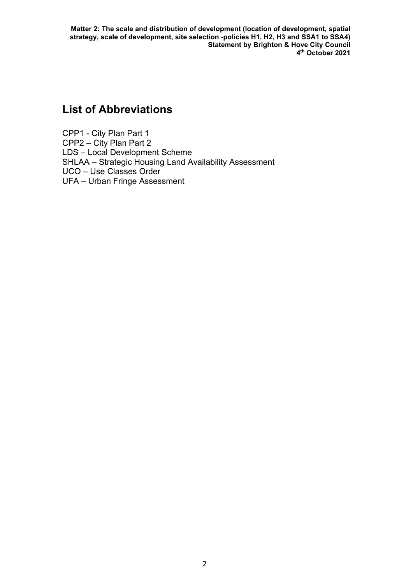## List of Abbreviations

CPP1 - City Plan Part 1 CPP2 – City Plan Part 2 LDS – Local Development Scheme SHLAA – Strategic Housing Land Availability Assessment UCO – Use Classes Order UFA – Urban Fringe Assessment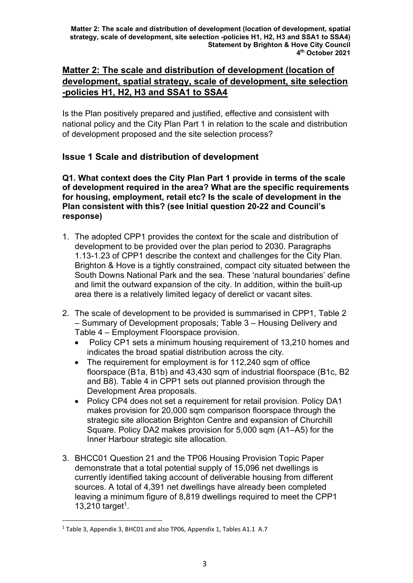## Matter 2: The scale and distribution of development (location of development, spatial strategy, scale of development, site selection -policies H1, H2, H3 and SSA1 to SSA4

Is the Plan positively prepared and justified, effective and consistent with national policy and the City Plan Part 1 in relation to the scale and distribution of development proposed and the site selection process?

## Issue 1 Scale and distribution of development

Q1. What context does the City Plan Part 1 provide in terms of the scale of development required in the area? What are the specific requirements for housing, employment, retail etc? Is the scale of development in the Plan consistent with this? (see Initial question 20-22 and Council's response)

- 1. The adopted CPP1 provides the context for the scale and distribution of development to be provided over the plan period to 2030. Paragraphs 1.13-1.23 of CPP1 describe the context and challenges for the City Plan. Brighton & Hove is a tightly constrained, compact city situated between the South Downs National Park and the sea. These 'natural boundaries' define and limit the outward expansion of the city. In addition, within the built-up area there is a relatively limited legacy of derelict or vacant sites.
- 2. The scale of development to be provided is summarised in CPP1, Table 2 – Summary of Development proposals; Table 3 – Housing Delivery and Table 4 – Employment Floorspace provision.
	- Policy CP1 sets a minimum housing requirement of 13,210 homes and indicates the broad spatial distribution across the city.
	- The requirement for employment is for 112,240 sqm of office floorspace (B1a, B1b) and 43,430 sqm of industrial floorspace (B1c, B2 and B8). Table 4 in CPP1 sets out planned provision through the Development Area proposals.
	- Policy CP4 does not set a requirement for retail provision. Policy DA1 makes provision for 20,000 sqm comparison floorspace through the strategic site allocation Brighton Centre and expansion of Churchill Square. Policy DA2 makes provision for 5,000 sqm (A1–A5) for the Inner Harbour strategic site allocation.
- 3. BHCC01 Question 21 and the TP06 Housing Provision Topic Paper demonstrate that a total potential supply of 15,096 net dwellings is currently identified taking account of deliverable housing from different sources. A total of 4,391 net dwellings have already been completed leaving a minimum figure of 8,819 dwellings required to meet the CPP1  $13,210$  target<sup>1</sup>.

<sup>&</sup>lt;sup>1</sup> Table 3, Appendix 3, BHC01 and also TP06, Appendix 1, Tables A1.1 A.7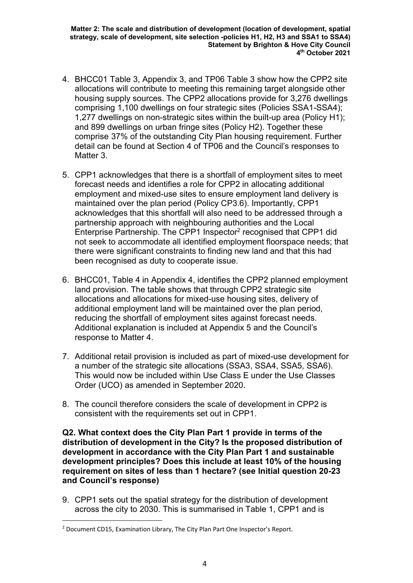- 4. BHCC01 Table 3, Appendix 3, and TP06 Table 3 show how the CPP2 site allocations will contribute to meeting this remaining target alongside other housing supply sources. The CPP2 allocations provide for 3,276 dwellings comprising 1,100 dwellings on four strategic sites (Policies SSA1-SSA4); 1,277 dwellings on non-strategic sites within the built-up area (Policy H1); and 899 dwellings on urban fringe sites (Policy H2). Together these comprise 37% of the outstanding City Plan housing requirement. Further detail can be found at Section 4 of TP06 and the Council's responses to Matter 3.
- 5. CPP1 acknowledges that there is a shortfall of employment sites to meet forecast needs and identifies a role for CPP2 in allocating additional employment and mixed-use sites to ensure employment land delivery is maintained over the plan period (Policy CP3.6). Importantly, CPP1 acknowledges that this shortfall will also need to be addressed through a partnership approach with neighbouring authorities and the Local Enterprise Partnership. The CPP1 Inspector<sup>2</sup> recognised that CPP1 did not seek to accommodate all identified employment floorspace needs; that there were significant constraints to finding new land and that this had been recognised as duty to cooperate issue.
- 6. BHCC01, Table 4 in Appendix 4, identifies the CPP2 planned employment land provision. The table shows that through CPP2 strategic site allocations and allocations for mixed-use housing sites, delivery of additional employment land will be maintained over the plan period, reducing the shortfall of employment sites against forecast needs. Additional explanation is included at Appendix 5 and the Council's response to Matter 4.
- 7. Additional retail provision is included as part of mixed-use development for a number of the strategic site allocations (SSA3, SSA4, SSA5, SSA6). This would now be included within Use Class E under the Use Classes Order (UCO) as amended in September 2020.
- 8. The council therefore considers the scale of development in CPP2 is consistent with the requirements set out in CPP1.

Q2. What context does the City Plan Part 1 provide in terms of the distribution of development in the City? Is the proposed distribution of development in accordance with the City Plan Part 1 and sustainable development principles? Does this include at least 10% of the housing requirement on sites of less than 1 hectare? (see Initial question 20-23 and Council's response)

9. CPP1 sets out the spatial strategy for the distribution of development across the city to 2030. This is summarised in Table 1, CPP1 and is

<sup>&</sup>lt;sup>2</sup> Document CD15, Examination Library, The City Plan Part One Inspector's Report.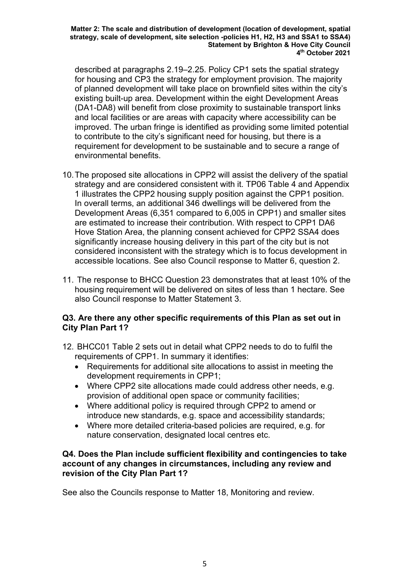described at paragraphs 2.19–2.25. Policy CP1 sets the spatial strategy for housing and CP3 the strategy for employment provision. The majority of planned development will take place on brownfield sites within the city's existing built-up area. Development within the eight Development Areas (DA1-DA8) will benefit from close proximity to sustainable transport links and local facilities or are areas with capacity where accessibility can be improved. The urban fringe is identified as providing some limited potential to contribute to the city's significant need for housing, but there is a requirement for development to be sustainable and to secure a range of environmental benefits.

- 10. The proposed site allocations in CPP2 will assist the delivery of the spatial strategy and are considered consistent with it. TP06 Table 4 and Appendix 1 illustrates the CPP2 housing supply position against the CPP1 position. In overall terms, an additional 346 dwellings will be delivered from the Development Areas (6,351 compared to 6,005 in CPP1) and smaller sites are estimated to increase their contribution. With respect to CPP1 DA6 Hove Station Area, the planning consent achieved for CPP2 SSA4 does significantly increase housing delivery in this part of the city but is not considered inconsistent with the strategy which is to focus development in accessible locations. See also Council response to Matter 6, question 2.
- 11. The response to BHCC Question 23 demonstrates that at least 10% of the housing requirement will be delivered on sites of less than 1 hectare. See also Council response to Matter Statement 3.

## Q3. Are there any other specific requirements of this Plan as set out in City Plan Part 1?

- 12. BHCC01 Table 2 sets out in detail what CPP2 needs to do to fulfil the requirements of CPP1. In summary it identifies:
	- Requirements for additional site allocations to assist in meeting the development requirements in CPP1;
	- Where CPP2 site allocations made could address other needs, e.g. provision of additional open space or community facilities;
	- Where additional policy is required through CPP2 to amend or introduce new standards, e.g. space and accessibility standards;
	- Where more detailed criteria-based policies are required, e.g. for nature conservation, designated local centres etc.

### Q4. Does the Plan include sufficient flexibility and contingencies to take account of any changes in circumstances, including any review and revision of the City Plan Part 1?

See also the Councils response to Matter 18, Monitoring and review.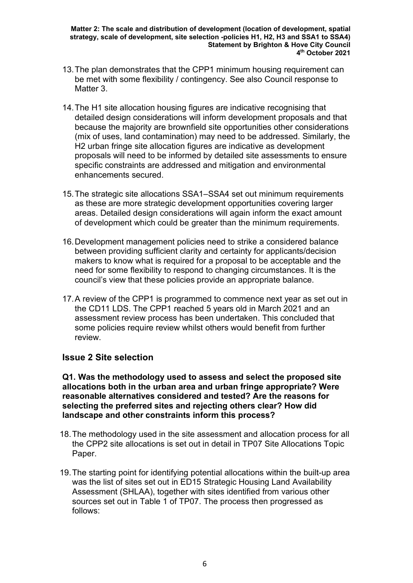- 13. The plan demonstrates that the CPP1 minimum housing requirement can be met with some flexibility / contingency. See also Council response to Matter 3.
- 14. The H1 site allocation housing figures are indicative recognising that detailed design considerations will inform development proposals and that because the majority are brownfield site opportunities other considerations (mix of uses, land contamination) may need to be addressed. Similarly, the H2 urban fringe site allocation figures are indicative as development proposals will need to be informed by detailed site assessments to ensure specific constraints are addressed and mitigation and environmental enhancements secured.
- 15. The strategic site allocations SSA1–SSA4 set out minimum requirements as these are more strategic development opportunities covering larger areas. Detailed design considerations will again inform the exact amount of development which could be greater than the minimum requirements.
- 16. Development management policies need to strike a considered balance between providing sufficient clarity and certainty for applicants/decision makers to know what is required for a proposal to be acceptable and the need for some flexibility to respond to changing circumstances. It is the council's view that these policies provide an appropriate balance.
- 17. A review of the CPP1 is programmed to commence next year as set out in the CD11 LDS. The CPP1 reached 5 years old in March 2021 and an assessment review process has been undertaken. This concluded that some policies require review whilst others would benefit from further review.

## Issue 2 Site selection

Q1. Was the methodology used to assess and select the proposed site allocations both in the urban area and urban fringe appropriate? Were reasonable alternatives considered and tested? Are the reasons for selecting the preferred sites and rejecting others clear? How did landscape and other constraints inform this process?

- 18. The methodology used in the site assessment and allocation process for all the CPP2 site allocations is set out in detail in TP07 Site Allocations Topic Paper.
- 19. The starting point for identifying potential allocations within the built-up area was the list of sites set out in ED15 Strategic Housing Land Availability Assessment (SHLAA), together with sites identified from various other sources set out in Table 1 of TP07. The process then progressed as follows: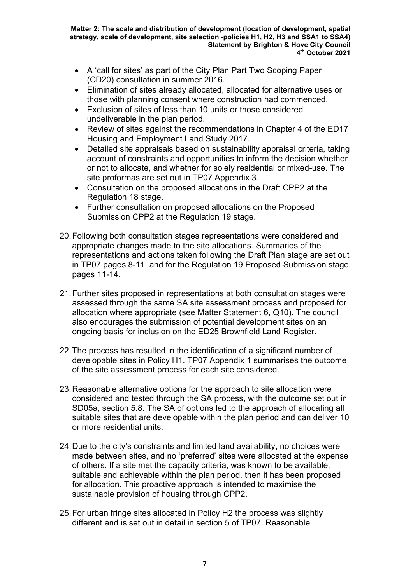- A 'call for sites' as part of the City Plan Part Two Scoping Paper (CD20) consultation in summer 2016.
- Elimination of sites already allocated, allocated for alternative uses or those with planning consent where construction had commenced.
- Exclusion of sites of less than 10 units or those considered undeliverable in the plan period.
- Review of sites against the recommendations in Chapter 4 of the ED17 Housing and Employment Land Study 2017.
- Detailed site appraisals based on sustainability appraisal criteria, taking account of constraints and opportunities to inform the decision whether or not to allocate, and whether for solely residential or mixed-use. The site proformas are set out in TP07 Appendix 3.
- Consultation on the proposed allocations in the Draft CPP2 at the Regulation 18 stage.
- Further consultation on proposed allocations on the Proposed Submission CPP2 at the Regulation 19 stage.
- 20. Following both consultation stages representations were considered and appropriate changes made to the site allocations. Summaries of the representations and actions taken following the Draft Plan stage are set out in TP07 pages 8-11, and for the Regulation 19 Proposed Submission stage pages 11-14.
- 21. Further sites proposed in representations at both consultation stages were assessed through the same SA site assessment process and proposed for allocation where appropriate (see Matter Statement 6, Q10). The council also encourages the submission of potential development sites on an ongoing basis for inclusion on the ED25 Brownfield Land Register.
- 22. The process has resulted in the identification of a significant number of developable sites in Policy H1. TP07 Appendix 1 summarises the outcome of the site assessment process for each site considered.
- 23. Reasonable alternative options for the approach to site allocation were considered and tested through the SA process, with the outcome set out in SD05a, section 5.8. The SA of options led to the approach of allocating all suitable sites that are developable within the plan period and can deliver 10 or more residential units.
- 24. Due to the city's constraints and limited land availability, no choices were made between sites, and no 'preferred' sites were allocated at the expense of others. If a site met the capacity criteria, was known to be available, suitable and achievable within the plan period, then it has been proposed for allocation. This proactive approach is intended to maximise the sustainable provision of housing through CPP2.
- 25. For urban fringe sites allocated in Policy H2 the process was slightly different and is set out in detail in section 5 of TP07. Reasonable